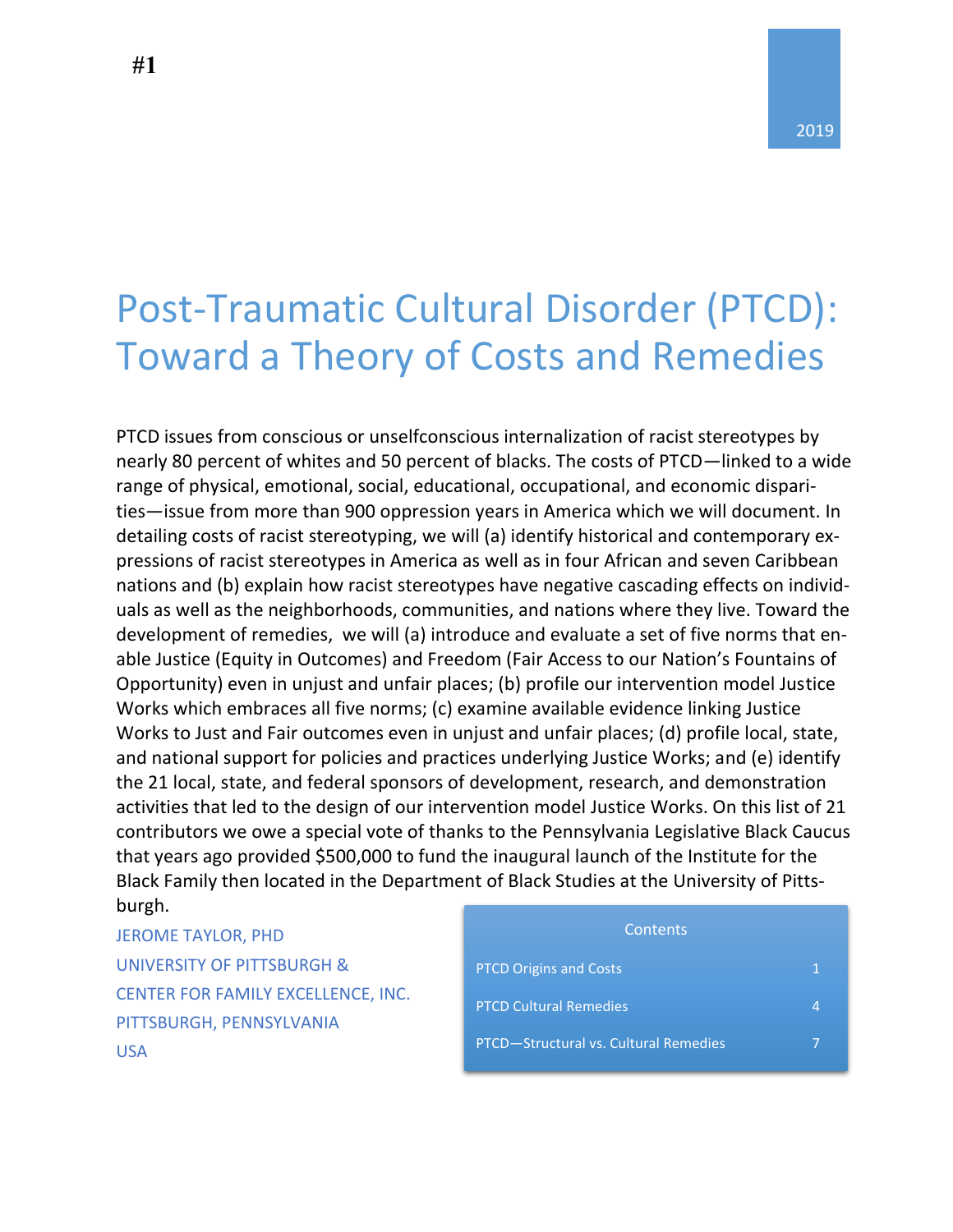# Post-Traumatic Cultural Disorder (PTCD): Toward a Theory of Costs and Remedies

PTCD issues from conscious or unselfconscious internalization of racist stereotypes by nearly 80 percent of whites and 50 percent of blacks. The costs of PTCD—linked to a wide range of physical, emotional, social, educational, occupational, and economic disparities—issue from more than 900 oppression years in America which we will document. In detailing costs of racist stereotyping, we will (a) identify historical and contemporary expressions of racist stereotypes in America as well as in four African and seven Caribbean nations and (b) explain how racist stereotypes have negative cascading effects on individuals as well as the neighborhoods, communities, and nations where they live. Toward the development of remedies, we will (a) introduce and evaluate a set of five norms that enable Justice (Equity in Outcomes) and Freedom (Fair Access to our Nation's Fountains of Opportunity) even in unjust and unfair places; (b) profile our intervention model Justice Works which embraces all five norms; (c) examine available evidence linking Justice Works to Just and Fair outcomes even in unjust and unfair places; (d) profile local, state, and national support for policies and practices underlying Justice Works; and (e) identify the 21 local, state, and federal sponsors of development, research, and demonstration activities that led to the design of our intervention model Justice Works. On this list of 21 contributors we owe a special vote of thanks to the Pennsylvania Legislative Black Caucus that years ago provided \$500,000 to fund the inaugural launch of the Institute for the Black Family then located in the Department of Black Studies at the University of Pittsburgh.

JEROME TAYLOR, PHD UNIVERSITY OF PITTSBURGH & CENTER FOR FAMILY EXCELLENCE, INC. PITTSBURGH, PENNSYLVANIA USA

| Contents                              |  |
|---------------------------------------|--|
| <b>PTCD Origins and Costs</b>         |  |
| <b>PTCD Cultural Remedies</b>         |  |
| PTCD-Structural vs. Cultural Remedies |  |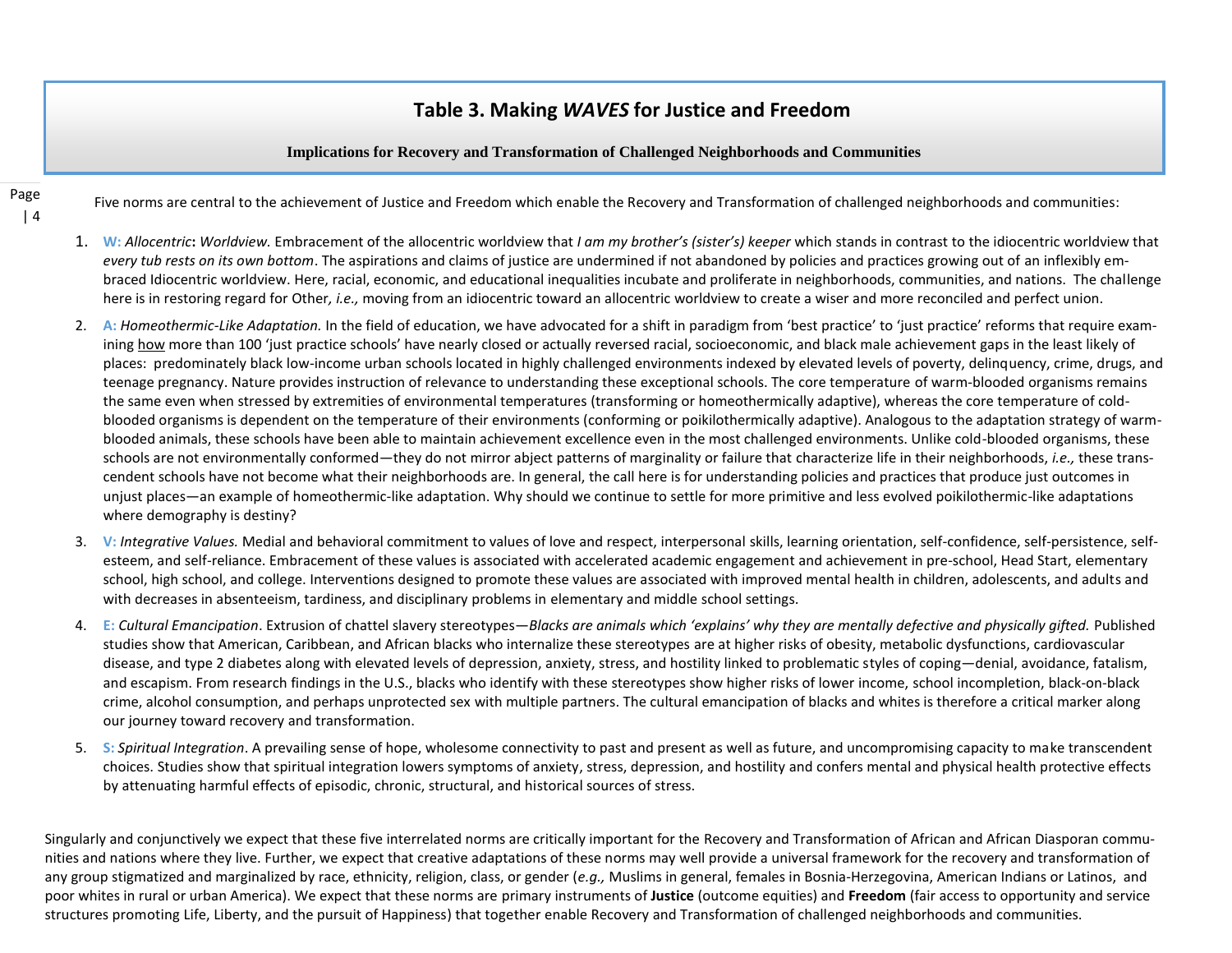## **Table 3. Making** *WAVES* **for Justice and Freedom**

#### **Implications for Recovery and Transformation of Challenged Neighborhoods and Communities**

Page | 4 Five norms are central to the achievement of Justice and Freedom which enable the Recovery and Transformation of challenged neighborhoods and communities: Jerome Taylor, PhD & Michael Tillotson, PhD

- 1. W: Allocentric: Worldview. Embracement of the allocentric worldview that I am my brother's (sister's) keeper which stands in contrast to the idiocentric worldview that *every tub rests on its own bottom*. The aspirations and claims of justice are undermined if not abandoned by policies and practices growing out of an inflexibly embraced Idiocentric worldview. Here, racial, economic, and educational inequalities incubate and proliferate in neighborhoods, communities, and nations. The challenge here is in restoring regard for Other*, i.e.,* moving from an idiocentric toward an allocentric worldview to create a wiser and more reconciled and perfect union.
- 2. A: *Homeothermic-Like Adaptation*. In the field of education, we have advocated for a shift in paradigm from 'best practice' to 'just practice' reforms that require examining how more than 100 'just practice schools' have nearly closed or actually reversed racial, socioeconomic, and black male achievement gaps in the least likely of places: predominately black low-income urban schools located in highly challenged environments indexed by elevated levels of poverty, delinquency, crime, drugs, and teenage pregnancy. Nature provides instruction of relevance to understanding these exceptional schools. The core temperature of warm-blooded organisms remains the same even when stressed by extremities of environmental temperatures (transforming or homeothermically adaptive), whereas the core temperature of coldblooded organisms is dependent on the temperature of their environments (conforming or poikilothermically adaptive). Analogous to the adaptation strategy of warmblooded animals, these schools have been able to maintain achievement excellence even in the most challenged environments. Unlike cold-blooded organisms, these schools are not environmentally conformed—they do not mirror abject patterns of marginality or failure that characterize life in their neighborhoods, *i.e.,* these transcendent schools have not become what their neighborhoods are. In general, the call here is for understanding policies and practices that produce just outcomes in unjust places—an example of homeothermic-like adaptation. Why should we continue to settle for more primitive and less evolved poikilothermic-like adaptations where demography is destiny?
- 3. **V:** *Integrative Values.* Medial and behavioral commitment to values of love and respect, interpersonal skills, learning orientation, self-confidence, self-persistence, selfesteem, and self-reliance. Embracement of these values is associated with accelerated academic engagement and achievement in pre-school, Head Start, elementary school, high school, and college. Interventions designed to promote these values are associated with improved mental health in children, adolescents, and adults and with decreases in absenteeism, tardiness, and disciplinary problems in elementary and middle school settings.
- 4. E: Cultural Emancipation. Extrusion of chattel slavery stereotypes—Blacks are animals which 'explains' why they are mentally defective and physically gifted. Published studies show that American, Caribbean, and African blacks who internalize these stereotypes are at higher risks of obesity, metabolic dysfunctions, cardiovascular disease, and type 2 diabetes along with elevated levels of depression, anxiety, stress, and hostility linked to problematic styles of coping—denial, avoidance, fatalism, and escapism. From research findings in the U.S., blacks who identify with these stereotypes show higher risks of lower income, school incompletion, black-on-black crime, alcohol consumption, and perhaps unprotected sex with multiple partners. The cultural emancipation of blacks and whites is therefore a critical marker along our journey toward recovery and transformation.
- 5. **S:** *Spiritual Integration*. A prevailing sense of hope, wholesome connectivity to past and present as well as future, and uncompromising capacity to make transcendent choices. Studies show that spiritual integration lowers symptoms of anxiety, stress, depression, and hostility and confers mental and physical health protective effects by attenuating harmful effects of episodic, chronic, structural, and historical sources of stress.

Singularly and conjunctively we expect that these five interrelated norms are critically important for the Recovery and Transformation of African and African Diasporan communities and nations where they live. Further, we expect that creative adaptations of these norms may well provide a universal framework for the recovery and transformation of any group stigmatized and marginalized by race, ethnicity, religion, class, or gender (*e.g.,* Muslims in general, females in Bosnia-Herzegovina, American Indians or Latinos, and poor whites in rural or urban America). We expect that these norms are primary instruments of **Justice** (outcome equities) and **Freedom** (fair access to opportunity and service structures promoting Life, Liberty, and the pursuit of Happiness) that together enable Recovery and Transformation of challenged neighborhoods and communities.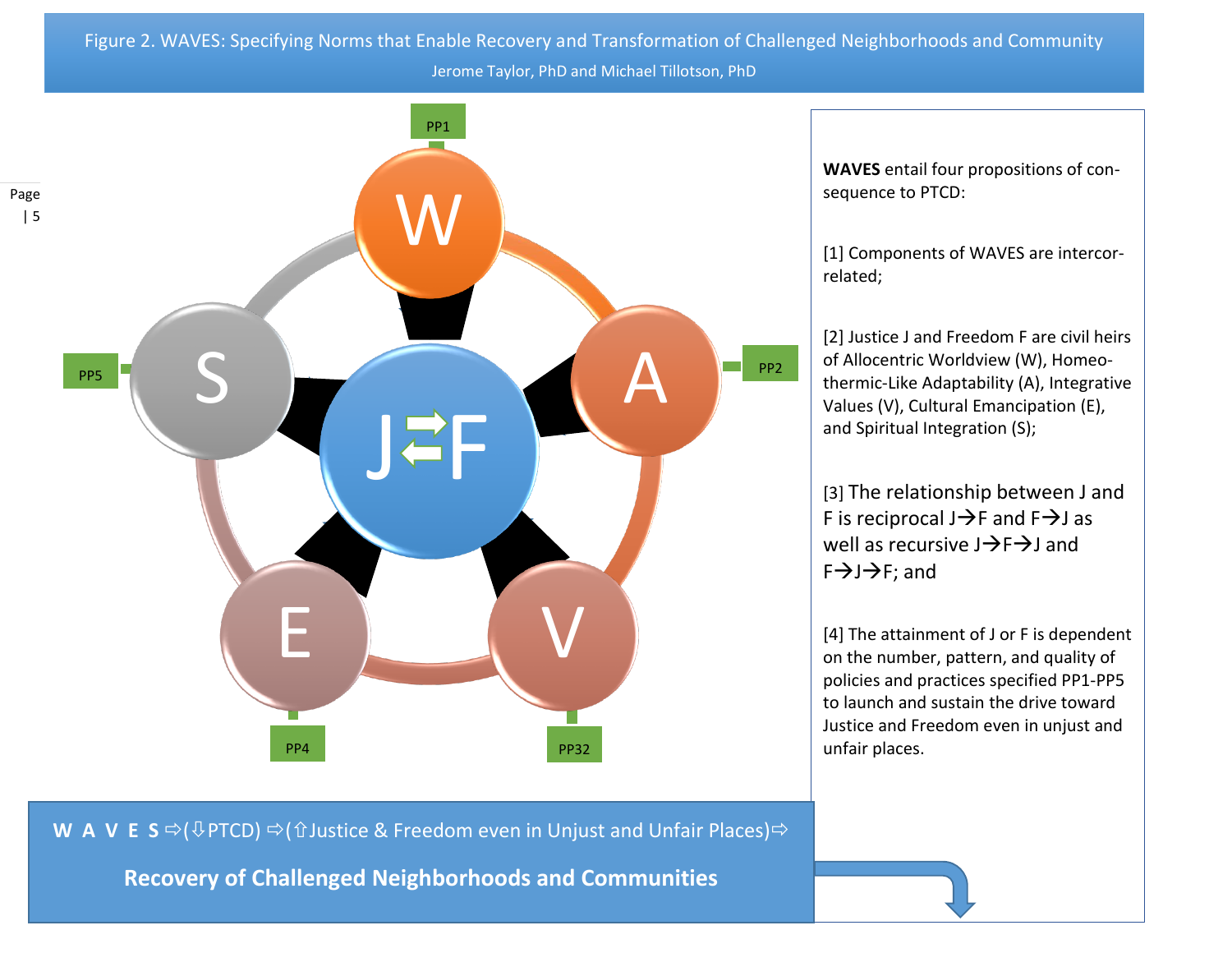Figure 2. WAVES: Specifying Norms that Enable Recovery and Transformation of Challenged Neighborhoods and Community Jerome Taylor, PhD and Michael Tillotson, PhD



**WAVES** entail four propositions of consequence to PTCD:

[1] Components of WAVES are intercorrelated;

[2] Justice J and Freedom F are civil heirs of Allocentric Worldview (W), Homeothermic-Like Adaptability (A), Integrative Values (V), Cultural Emancipation (E), and Spiritual Integration (S);

[3] The relationship between J and F is reciprocal  $J\rightarrow F$  and  $F\rightarrow J$  as well as recursive  $J\rightarrow F\rightarrow J$  and  $F \rightarrow J \rightarrow F$ ; and

[4] The attainment of J or F is dependent on the number, pattern, and quality of policies and practices specified PP1-PP5 to launch and sustain the drive toward Justice and Freedom even in unjust and unfair places.

**W A V E S**  $\Leftrightarrow$  ( $\bigcirc$  PTCD)  $\Leftrightarrow$  (û Justice & Freedom even in Unjust and Unfair Places)  $\Leftrightarrow$ 

**Recovery of Challenged Neighborhoods and Communities**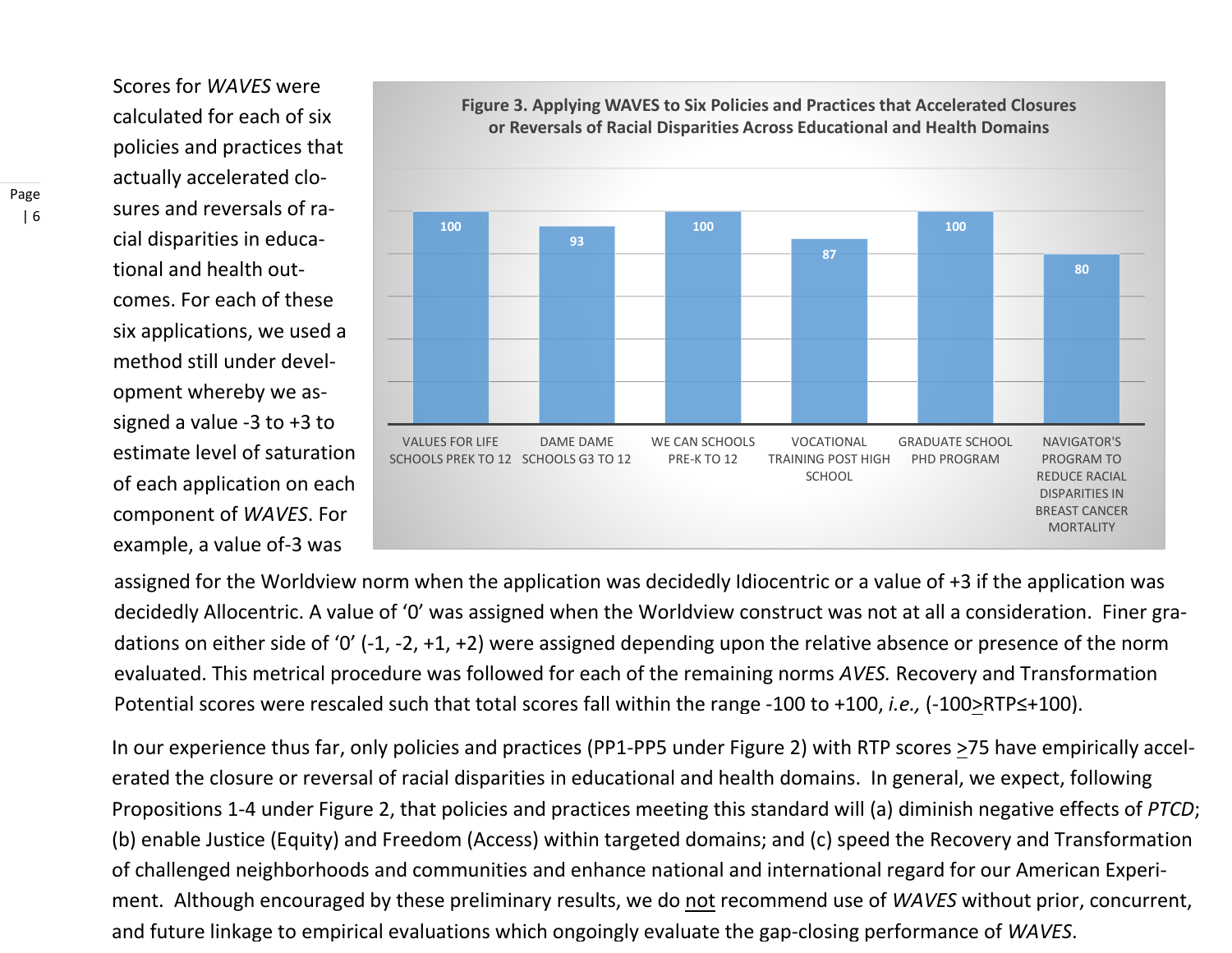Scores for *WAVES* were calculated for each of six policies and practices that actually accelerated closures and reversals of racial disparities in educational and health outcomes. For each of these six applications, we used a method still under development whereby we assigned a value -3 to +3 to estimate level of saturation of each application on each component of *WAVES*. For example, a value of-3 was



**Figure 3. Applying WAVES to Six Policies and Practices that Accelerated Closures or Reversals of Racial Disparities Across Educational and Health Domains** 

assigned for the Worldview norm when the application was decidedly Idiocentric or a value of +3 if the application was decidedly Allocentric. A value of '0' was assigned when the Worldview construct was not at all a consideration. Finer gradations on either side of '0' (-1, -2, +1, +2) were assigned depending upon the relative absence or presence of the norm evaluated. This metrical procedure was followed for each of the remaining norms *AVES.* Recovery and Transformation Potential scores were rescaled such that total scores fall within the range -100 to +100, *i.e.*, (-100≥RTP≤+100).

In our experience thus far, only policies and practices (PP1-PP5 under Figure 2) with RTP scores >75 have empirically accelerated the closure or reversal of racial disparities in educational and health domains. In general, we expect, following Propositions 1-4 under Figure 2, that policies and practices meeting this standard will (a) diminish negative effects of *PTCD*; (b) enable Justice (Equity) and Freedom (Access) within targeted domains; and (c) speed the Recovery and Transformation of challenged neighborhoods and communities and enhance national and international regard for our American Experiment. Although encouraged by these preliminary results, we do not recommend use of *WAVES* without prior, concurrent, and future linkage to empirical evaluations which ongoingly evaluate the gap-closing performance of *WAVES*.